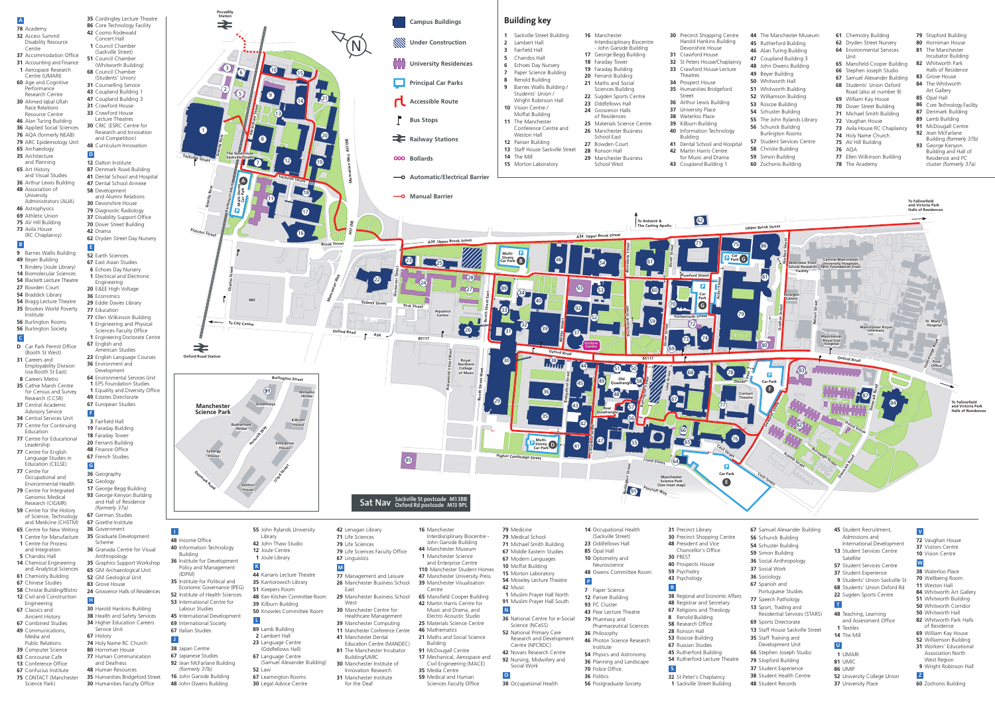85

**Multi-Storey Car Park**

**Oxford Road**

**Booth Street East**

**Booth Street West**

**Royal Northern College of Music**

**Rosamond Street West**

**A34**

**A57 (M)**

**Mancunian Way**

**Brook Street rook** 

**Princess Street St Princess Street eetr**

**BBC**

**Charles Street**

To City Centre

**Granby Row**

**kville** Street **Sackville Street** 

**Sackville Street Str**

**Altrincham Street**

**Oxford Road Station**

⇄

**Piccadilly Station**

 **10** Moffat Building Morton Laboratory **79** Medicine Medical School Michael Smith Building Middle Eastern Studies Modern Languages Moseley Lecture Theatre

**A34 Upper Brook Street A34 Upper Brook Street**

**-O** Automatic/Electrical Barrier

**Aquatics Centre**

**Mancuni an Way A57 M)**

**( Mancunian A57(M)**

**The Gatehouse Sackville Street**

- **9** Barnes Wallis Building
- **49** Beyer Building
- **1** Bindery (Joule Library)
- **14** Biomolecular Sciences
- **54** Blackett Lecture Theatre **27** Bowden Court
- **54** Braddick Library
- **54** Bragg Lecture Theatre
- **35** Brookes World Poverty Institute
- **56** Burlington Rooms **56** Burlington Society

**Granby Row**



**B5117**

23 **25** 

**Accessible Route**

**Railway Stations**

**Principal Car Parks**

**Campus Buildings**

- **A 35** Cordingley Lecture Theatre **86** Core Technology Facility **42** Cosmo Rodewald Concert Hall **01** Council Chamber (Sackville Street) **51** Council Chamber (Whitworth Building) **68** Council Chamber (Students' Union) **31 Counselling Service 43** Coupland Building
	- **47** Coupland Building 3 **31** Crawford House **33** Crawford House
	- Lecture Theatres **30** CRIC (ESRC Centre for
	- Research and Innovation and Competition) **48** Curriculum Innovation

1

2

3 6

5

7

8

9

10

Railway<u>:Viaduct</u>

11

13

14

15

 $\bullet$ 

16

17

18

19

20

21

22

24

26

27

28

29

30

**19** 

33

89

**A**

**Accessible Route**

**Bus Stops**

**Railway Stations** 

**OOO** Bollards

**The Contract State** 

**Manual Barrier** 

**University Residences**

**Campus Buildings**

**Principal Car Parks** 

**WWW** Under Construction

**Manchester Science Park** **Williams House**

- **Reduced by Building**<br> **8** Faraday Tower<br> **0** Ferranti Building **03** Fairfield Hall **19** Faraday Building **18** Faraday Tower **20** Ferranti Building **48** Finance Office **F**
- **67** French Studies **G**

**Kilburn House**

**Enterprise House**

Ltoyd Street

**Skelton House**

**Greenheys**

**Rutherford House**

**Synergy House**

**Burlington Street**

**Denmark Road**

**91**



### **78** Academy **32** Access Summit Disability Resource

- Centre **37** Accommodation Office
- **31** Accounting and Finance **01** Aerospace Research
- Centre (UMARI)
- **60** Age and Cognitive Performance
- Research Centre **30** Ahmed Iqbal Ullah
- Race Relations Resource Centre
- **46** Alan Turing Building **36** Applied Social Sciences
- **76** AQA (formerly NEAB)
- **79** ARC Epidemiology Unit
- **65** Archaeology **35** Architecture
- and Planning **65** Art History and Visual Studies
- **36** Arthur Lewis Building **48** Association of University
- Administrators (AUA)
- **46** Astrophysics **69** Athletic Union
- **75** AV Hill Building
- **73** Avila House (RC Chaplaincy)

**01** Muslim Prayer Hall North **91** Muslim Prayer Hall South

- **54** Physics and Astronomy **36** Planning and Landscape
- **70** Police Office
- **36** Politics **56** Postgraduate Society

**32** St Peter's Chaplaincy **1** Sackville Street Building

- **D** Car Park Permit Office (Booth St West) **31** Careers and
- Employability Division (via Booth St East) **08** Careers Metro
- **35** Cathie Marsh Centre for Census and Survey Research (CCSR)
- **37** Central Academic Advisory Service
- **34** Central Services Unit
- **77** Centre for Continuing Education
- **77** Centre for Educational Leadership
- **77** Centre for English Language Studies in Education (CELSE) **77** Centre for
- Occupational and Environmental Health
- **79** Centre for Integrated Genomic Medical Research (CIGMR)
- **59** Centre for the History of Science, Technology and Medicine (CHSTM) **67** Goethe Institute
- **65** Centre for New Writing **36** Government
- **01** Centre for Manufacture **1** Centre for Process
- and Integration **5** Chandos Hall
- **14** Chemical Engineering and Analytical Sciences
- **61** Chemistry Building
- **67** Chinese Studies
- **58** Christie Building/Bistro **12** Civil and Construction
- Engineering **67** Classics and
- Ancient History **67** Combined Studies **49** Communications,
- Media and Public Relations
- **39** Computer Science
- **63** Concourse Cafe
- **13** Conference Office
- **67** Confucius Institute
- **75** CONTACT (Manchester Science Park)

**9** Students' Union Sackville St **68** Students' Union Oxford Rd **22** Sugden Sports Centre

 **40** Information Technology

 Building

### **C**

### **B**

- **1** Sackville Street Building **2** Lambert Hall
- **1 5** Chandos Hall **3** Fairfield Hall
	- **6** Echoes Day Nursery
	- **7** Paper Science Building
	- **8** Renold Building
	- **9** Barnes Wallis Building / Students' Union /
	- Wright Robinson Hall
	- **10** Vision Centre /
	- Moffat Building
	- **11** The Manchester Conference Centre and
	- Weston Hall
	- **12** Pariser Building
	- **13** Staff House Sackville Street **14** The Mill
- **Automatic/Electrical Barrier 15** Morton Laboratory
- **Interdisciplinary Biocentre Science Park** - John Garside Building **16** Manchester
- **18** Faraday Tower **17** George Begg Building
- **19** Faraday Building
- **20** Ferranti Building
- Sciences Building **21** Maths and Social
- **22** Sugden Sports Centre
- **23** Oddfellows Hall **24** Grosvenor Halls
- of Residences
- **24** Grosvenor Halls<br>
of Residences<br> **25** Materials Science Centre **House 26** Manchester Business
- School East
- **27** Bowden Court
- **28** Ronson Hall
- **29** Manchester Business School West

 Dalton Institute Denmark Road Building Dental School and Hospital Dental School Annexe Development

- and Alumni Relations
- **30** Devonshire House **79** Diagnostic Radiology
- **37** Disability Support Office
- **70** Dover Street Building
- **42** Drama **62** Dryden Street Day Nursery
- **30** Precinct Shopping Centre Harold Hankins Building Devonshire House
- **31** Crawford House **32** St Peters House/Chaplaincy
- **34** Prospect House **33** Crawford House Lecture Theatres
- **35** Humanities Bridgeford Street
- **36** Arthur Lewis Building
- **Lao B**<br> **Lao B**<br> **Lao B**<br> **Lao B**<br> **Lao B**<br> **Lao B 37** University Place
- **38** Waterloo Place
- **39** Kilburn Building
- **40** Information Technology Building
- **41** Dental School and Hospital **42** Martin Harris Centre
- for Music and Drama **43** Coupland Building 1

 **25** Materials Science Centre

- **52** Earth Sciences
- **67** East Asian Studies
- **6** Echoes Day Nursery
- **1** Electrical and Electronic
- Engineering
- **20** E&EE High Voltage
- **36** Economics **29** Eddie Davies Library
- **77** Education
- **77** Ellen Wilkinson Building
- **1** Engineering and Physical Sciences Faculty Office
- **1** Engineering Doctorate Centre **67** English and
- American Studies **23** English Language Courses
- **36** Environment and Development
- **64** Environmental Services Unit **1** EPS Foundation Studies
- **1** Equality and Diversity Office **49** Estates Directorate

# **67** European Studies

### **36** Geography

- **52** Geology **17** George Begg Building **93** George Kenyon Building and Hall of Residence *(formerly 37a)*
- **67** German Studies
- 
- **35** Graduate Development
- Scheme **36** Granada Centre for Visual
- Anthropology **35** Graphics Support Workshop
- **65** GM Archaeological Unit **52** GM Geological Unit
- **83** Grove House
	- **24** Grosvenor Halls of Residences **H**
- **30** Harold Hankins Building **38** Health and Safety Services
- **34** Higher Education Careers
- Service Unit **67** History
- **74** Holy Name RC Church
- **80** Horniman House **77** Human Communication and Deafness

**48** Human Resources

**35** Humanities Bridgeford Street **30** Humanities Faculty Office

### **E**

# **D**

**48** Income Office

**36** Institute for Development Policy and Management

(IDPM)

**35** Institute for Political and Economic Governance (IPEG) **52** Institute of Health Sciences **53** International Centre for Labour Studies

**45** International Development **69** International Society **67** Italian Studies

 Japan Centre Japanese Studies Jean McFarlane Building *(formerly 37b)* John Garside Building John Owens Building

**I**

**J**

**55** John Rylands University

Library John Thaw Studio Joule Centre Joule Library

**44** Kanaris Lecture Theatre **35** Kantorowich Library **51** Keepers Room

**48** Ken Kitchen Committee Room

**39** Kilburn Building

**50** Knowles Committee Room

 Lamb Building Lambert Hall Language Centre (Oddfellows Hall) Language Centre

(Samuel Alexander Building)

**52** Law

**67** Leamington Rooms **30** Legal Advice Centre

**L**

**K**

**42** Lenagan Library **71** Life Sciences **79** Life Sciences

**67** Linguistics

**77** Management and Leisure **26** Manchester Business School

East

**29** Manchester Business School

West

**79** Life Sciences Faculty Office

 Manchester Centre for Healthcare Management Manchester Computing Manchester Conference Centre

**41** Manchester Dental

**new Street Property Street Property Street Property Street** 

Education Centre (MANDEC) **81** The Manchester Incubator Building/UMIC **30** Manchester Institute of Innovation Research **31** Manchester Institute for the Deaf

**M**

**16** Manchester

Interdisciplinary Biocentre - John Garside Building Manchester Museum Manchester Science and Enterprise Centre Manchester Student Homes Manchester University Press Manchester Visualisation

Centre

**65** Mansfield Cooper Building **42** Martin Harris Centre for Music and Drama, and Electro Acoustic Studio

**46** Mathematics

**21** Maths and Social Science

Building **91** McDougall Centre

**17** Mechanical, Aerospace and Civil Engineering (MACE)

**35** Media Centre **59** Medical and Human Sciences Faculty Office **42** Music

**N**

**O**

- **36** National Centre for e-Social Science (NCeSS)
- **52** National Primary Care Research and Development Centre (NPCRDC)
- **42** Novars Research Centre **92** Nursing, Midwifery and Social Work
- **38** Occupational Health
- **93** PC Cluster **43** Pear Lecture Theatre **79** Pharmacy and

 Occupational Health (Sackville Street) Oddfellows Hall Opal Hall Optometry and Neuroscience

**48** Owens Committee Room

**7** Paper Science **12** Pariser Building

Pharmaceutical Sciences **36** Philosophy

**46** Photon Science Research Institute

**P**

- **31** Precinct Library **30** Precinct Shopping Centre
- **48** President and Vice Chancellor's Office
- **30** PREST
- **40** Prospects House
- **59** Psychiatry **43** Psychology
- **R**
- **38** Regional and Economic Affairs
- **48** Registrar and Secretary

 Religions and Theology Renold Building Research Office Ronson Hall Roscoe Building Russian Studies Rutherford Building Rutherford Lecture Theatre

**S**

 Schunck Building Schuster Building Simon Building Social Anthropology

**37** Social Work **36** Sociology **67** Spanish and

Portuguese Studies **77** Speech Pathology **13** Sport, Trading and

Residential Services (STARS)

**67** Samuel Alexander Building **45** Student Recruitment,

**69** Sports Directorate

**13** Staff House Sackville Street

 Staff Training and Development Unit Stephen Joseph Studio Stopford Building Student Experience Student Health Centre Student Records

Admissions and

International Development **13** Student Services Centre

**57** Student Services Centre **37** Student Experience

**48** Teaching, Learning and Assessment Office

**52** University College Union

**01** Textiles **14** The Mill

**01** UMARI **81** UMIC **86** UMIP

**37** University Place

**U**

**T**

**Satellite** 

**72** Vaughan House **37** Visitors Centre **10** Vision Centre

**38** Waterloo Place **70** Wellbeing Room **11** Weston Hall

 Whitworth Art Gallery Whitworth Building Whitworth Corridor Whitworth Hall Whitworth Park Halls of Residence William Kay House Williamson Building Workers' Educational Association North West Region Wright Robinson Hall

**60** Zochonis Building

**W**

**Z**

**V**

**Sat Nav Sackville St postcode M1 3BB Oxford Rd postcode M13 9PL**

- **44** The Manchester Museum
- **45** Rutherford Building
- **46** Alan Turing Building **47** Coupland Building 3
- **48** John Owens Building
- **49** Beyer Building
- **50** Whitworth Hall
- **51** Whitworth Building
- **52** Williamson Building
- **53** Roscoe Building **54** Schuster Building
- **55** The John Rylands Library
- **56** Schunck Building
- Burlington Rooms **57** Student Services Centre
- **58** Christie Building
- **59** Simon Building
- **60** Zochonis Building
- **61** Chemistry Building
- **62** Dryden Street Nursery **64** Environmental Services
- Unit
- **65** Mansfield Cooper Building **66** Stephen Joseph Studio
- **67** Samuel Alexander Building
- **68** Students' Union Oxford Road (also at number 9)
- **69** William Kay House
- **70** Dover Street Building
- **71** Michael Smith Building
- **72** Vaughan House
- **73** Avila House RC Chaplaincy **74** Holy Name Church
- **75** AV Hill Building
- **76** AQA

**77** Ellen Wilkinson Building

**78** The Academy

- **79** Stopford Building
- **80** Horniman House **81** The Manchester
- Incubator Building
- **82** Whitworth Park Halls of Residence
- **83** Grove House **84** The Whitworth
- Art Gallery
- **85** Opal Hall
- **86** Core Technology Facility
- **87** Denmark Building **89** Lamb Building
- **91** McDougall Centre
- **92** Jean McFarlane Building *(formerly 37b)* **93** George Kenyon Building and Hall of Residence and PC cluster *(formerly 37a)*

# **Building key**